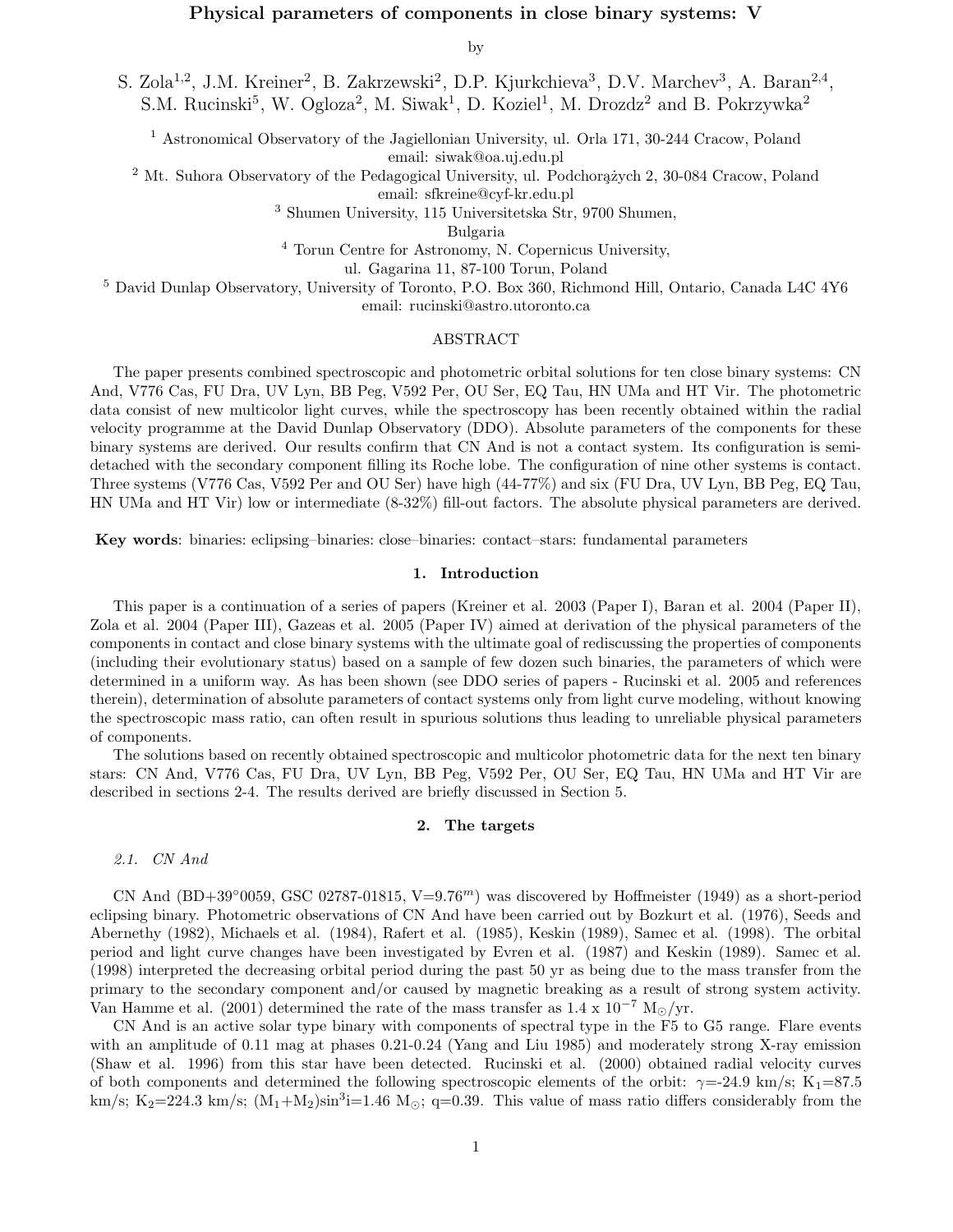## Physical parameters of components in close binary systems: V

by

S. Zola<sup>1,2</sup>, J.M. Kreiner<sup>2</sup>, B. Zakrzewski<sup>2</sup>, D.P. Kjurkchieva<sup>3</sup>, D.V. Marchev<sup>3</sup>, A. Baran<sup>2,4</sup>, S.M. Rucinski<sup>5</sup>, W. Ogloza<sup>2</sup>, M. Siwak<sup>1</sup>, D. Koziel<sup>1</sup>, M. Drozdz<sup>2</sup> and B. Pokrzywka<sup>2</sup>

<sup>1</sup> Astronomical Observatory of the Jagiellonian University, ul. Orla 171, 30-244 Cracow, Poland email: siwak@oa.uj.edu.pl

<sup>2</sup> Mt. Suhora Observatory of the Pedagogical University, ul. Podchorażych 2, 30-084 Cracow, Poland

email: sfkreine@cyf-kr.edu.pl

<sup>3</sup> Shumen University, 115 Universitetska Str, 9700 Shumen,

Bulgaria

<sup>4</sup> Torun Centre for Astronomy, N. Copernicus University,

ul. Gagarina 11, 87-100 Torun, Poland

<sup>5</sup> David Dunlap Observatory, University of Toronto, P.O. Box 360, Richmond Hill, Ontario, Canada L4C 4Y6 email: rucinski@astro.utoronto.ca

### ABSTRACT

The paper presents combined spectroscopic and photometric orbital solutions for ten close binary systems: CN And, V776 Cas, FU Dra, UV Lyn, BB Peg, V592 Per, OU Ser, EQ Tau, HN UMa and HT Vir. The photometric data consist of new multicolor light curves, while the spectroscopy has been recently obtained within the radial velocity programme at the David Dunlap Observatory (DDO). Absolute parameters of the components for these binary systems are derived. Our results confirm that CN And is not a contact system. Its configuration is semidetached with the secondary component filling its Roche lobe. The configuration of nine other systems is contact. Three systems (V776 Cas, V592 Per and OU Ser) have high (44-77%) and six (FU Dra, UV Lyn, BB Peg, EQ Tau, HN UMa and HT Vir) low or intermediate (8-32%) fill-out factors. The absolute physical parameters are derived.

Key words: binaries: eclipsing–binaries: close–binaries: contact–stars: fundamental parameters

### 1. Introduction

This paper is a continuation of a series of papers (Kreiner et al. 2003 (Paper I), Baran et al. 2004 (Paper II), Zola et al. 2004 (Paper III), Gazeas et al. 2005 (Paper IV) aimed at derivation of the physical parameters of the components in contact and close binary systems with the ultimate goal of rediscussing the properties of components (including their evolutionary status) based on a sample of few dozen such binaries, the parameters of which were determined in a uniform way. As has been shown (see DDO series of papers - Rucinski et al. 2005 and references therein), determination of absolute parameters of contact systems only from light curve modeling, without knowing the spectroscopic mass ratio, can often result in spurious solutions thus leading to unreliable physical parameters of components.

The solutions based on recently obtained spectroscopic and multicolor photometric data for the next ten binary stars: CN And, V776 Cas, FU Dra, UV Lyn, BB Peg, V592 Per, OU Ser, EQ Tau, HN UMa and HT Vir are described in sections 2-4. The results derived are briefly discussed in Section 5.

### 2. The targets

### 2.1. CN And

CN And  $(BD+39°0059,$  GSC 02787-01815, V=9.76<sup>m</sup>) was discovered by Hoffmeister (1949) as a short-period eclipsing binary. Photometric observations of CN And have been carried out by Bozkurt et al. (1976), Seeds and Abernethy (1982), Michaels et al. (1984), Rafert et al. (1985), Keskin (1989), Samec et al. (1998). The orbital period and light curve changes have been investigated by Evren et al. (1987) and Keskin (1989). Samec et al. (1998) interpreted the decreasing orbital period during the past 50 yr as being due to the mass transfer from the primary to the secondary component and/or caused by magnetic breaking as a result of strong system activity. Van Hamme et al. (2001) determined the rate of the mass transfer as  $1.4 \times 10^{-7}$  M<sub>o</sub>/yr.

CN And is an active solar type binary with components of spectral type in the F5 to G5 range. Flare events with an amplitude of 0.11 mag at phases 0.21-0.24 (Yang and Liu 1985) and moderately strong X-ray emission (Shaw et al. 1996) from this star have been detected. Rucinski et al. (2000) obtained radial velocity curves of both components and determined the following spectroscopic elements of the orbit:  $\gamma = -24.9 \text{ km/s}; K_1 = 87.5$ km/s; K<sub>2</sub>=224.3 km/s;  $(M_1+M_2)sin^3i=1.46$  M<sub>o</sub>; q=0.39. This value of mass ratio differs considerably from the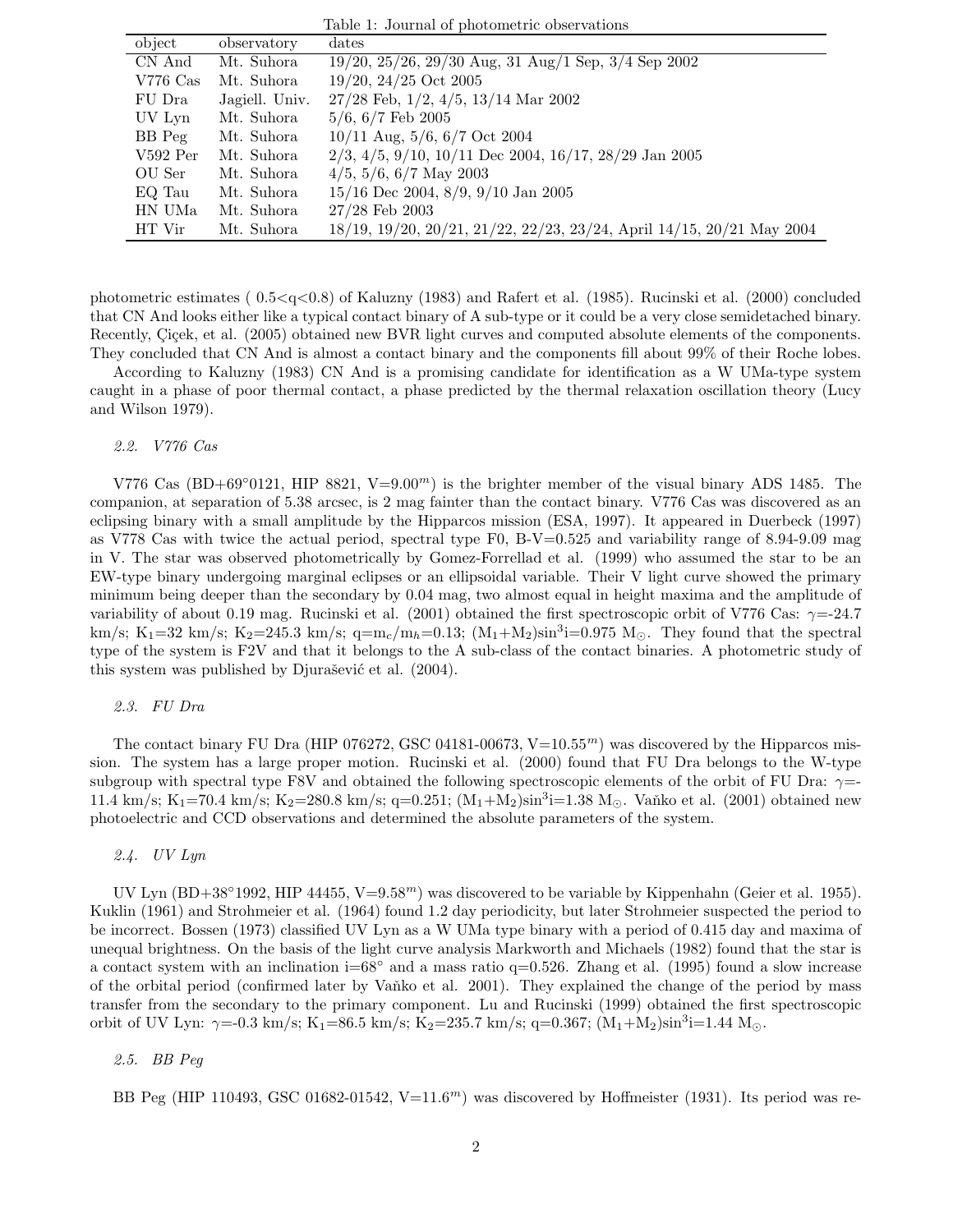| object     | observatory    | dates                                                                 |
|------------|----------------|-----------------------------------------------------------------------|
| CN And     | Mt. Suhora     | $19/20$ , $25/26$ , $29/30$ Aug, $31$ Aug/1 Sep, $3/4$ Sep 2002       |
| $V776$ Cas | Mt. Suhora     | $19/20$ , $24/25$ Oct 2005                                            |
| FU Dra     | Jagiell. Univ. | $27/28$ Feb, $1/2$ , $4/5$ , $13/14$ Mar 2002                         |
| UV Lyn     | Mt. Suhora     | $5/6, 6/7$ Feb 2005                                                   |
| BB Peg     | Mt. Suhora     | $10/11$ Aug, $5/6$ , $6/7$ Oct 2004                                   |
| $V592$ Per | Mt. Suhora     | $2/3, 4/5, 9/10, 10/11$ Dec 2004, 16/17, 28/29 Jan 2005               |
| OU Ser     | Mt. Suhora     | $4/5, 5/6, 6/7$ May 2003                                              |
| EQ Tau     | Mt. Suhora     | $15/16$ Dec 2004, $8/9$ , $9/10$ Jan 2005                             |
| HN UMa     | Mt. Suhora     | $27/28$ Feb 2003                                                      |
| HT Vir     | Mt. Suhora     | 18/19, 19/20, 20/21, 21/22, 22/23, 23/24, April 14/15, 20/21 May 2004 |

Table 1: Journal of photometric observations

photometric estimates ( 0.5<q<0.8) of Kaluzny (1983) and Rafert et al. (1985). Rucinski et al. (2000) concluded that CN And looks either like a typical contact binary of A sub-type or it could be a very close semidetached binary. Recently, Cicek, et al. (2005) obtained new BVR light curves and computed absolute elements of the components. They concluded that CN And is almost a contact binary and the components fill about 99% of their Roche lobes.

According to Kaluzny (1983) CN And is a promising candidate for identification as a W UMa-type system caught in a phase of poor thermal contact, a phase predicted by the thermal relaxation oscillation theory (Lucy and Wilson 1979).

2.2. V776 Cas

V776 Cas (BD+69°0121, HIP 8821, V=9.00<sup>m</sup>) is the brighter member of the visual binary ADS 1485. The companion, at separation of 5.38 arcsec, is 2 mag fainter than the contact binary. V776 Cas was discovered as an eclipsing binary with a small amplitude by the Hipparcos mission (ESA, 1997). It appeared in Duerbeck (1997) as V778 Cas with twice the actual period, spectral type F0, B-V=0.525 and variability range of 8.94-9.09 mag in V. The star was observed photometrically by Gomez-Forrellad et al. (1999) who assumed the star to be an EW-type binary undergoing marginal eclipses or an ellipsoidal variable. Their V light curve showed the primary minimum being deeper than the secondary by 0.04 mag, two almost equal in height maxima and the amplitude of variability of about 0.19 mag. Rucinski et al. (2001) obtained the first spectroscopic orbit of V776 Cas:  $\gamma = -24.7$ km/s; K<sub>1</sub>=32 km/s; K<sub>2</sub>=245.3 km/s; q=m<sub>c</sub>/m<sub>h</sub>=0.13; (M<sub>1</sub>+M<sub>2</sub>)sin<sup>3</sup>i=0.975 M<sub>o</sub>. They found that the spectral type of the system is F2V and that it belongs to the A sub-class of the contact binaries. A photometric study of this system was published by Djurašević et al. (2004).

### 2.3. FU Dra

The contact binary FU Dra (HIP 076272, GSC 04181-00673,  $V=10.55<sup>m</sup>$ ) was discovered by the Hipparcos mission. The system has a large proper motion. Rucinski et al. (2000) found that FU Dra belongs to the W-type subgroup with spectral type F8V and obtained the following spectroscopic elements of the orbit of FU Dra:  $\gamma=$ 11.4 km/s; K<sub>1</sub>=70.4 km/s; K<sub>2</sub>=280.8 km/s; q=0.251; (M<sub>1</sub>+M<sub>2</sub>)sin<sup>3</sup>i=1.38 M<sub>0</sub>. Vanko et al. (2001) obtained new photoelectric and CCD observations and determined the absolute parameters of the system.

2.4. UV Lyn

UV Lyn (BD+38°1992, HIP 44455, V=9.58<sup>m</sup>) was discovered to be variable by Kippenhahn (Geier et al. 1955). Kuklin (1961) and Strohmeier et al. (1964) found 1.2 day periodicity, but later Strohmeier suspected the period to be incorrect. Bossen (1973) classified UV Lyn as a W UMa type binary with a period of 0.415 day and maxima of unequal brightness. On the basis of the light curve analysis Markworth and Michaels (1982) found that the star is a contact system with an inclination i=68 $\degree$  and a mass ratio q=0.526. Zhang et al. (1995) found a slow increase of the orbital period (confirmed later by Vanko et al. 2001). They explained the change of the period by mass transfer from the secondary to the primary component. Lu and Rucinski (1999) obtained the first spectroscopic orbit of UV Lyn:  $\gamma$ =-0.3 km/s; K<sub>1</sub>=86.5 km/s; K<sub>2</sub>=235.7 km/s; q=0.367; (M<sub>1</sub>+M<sub>2</sub>)sin<sup>3</sup>i=1.44 M<sub>0</sub>.

## 2.5. BB Peg

BB Peg (HIP 110493, GSC 01682-01542,  $V=11.6<sup>m</sup>$ ) was discovered by Hoffmeister (1931). Its period was re-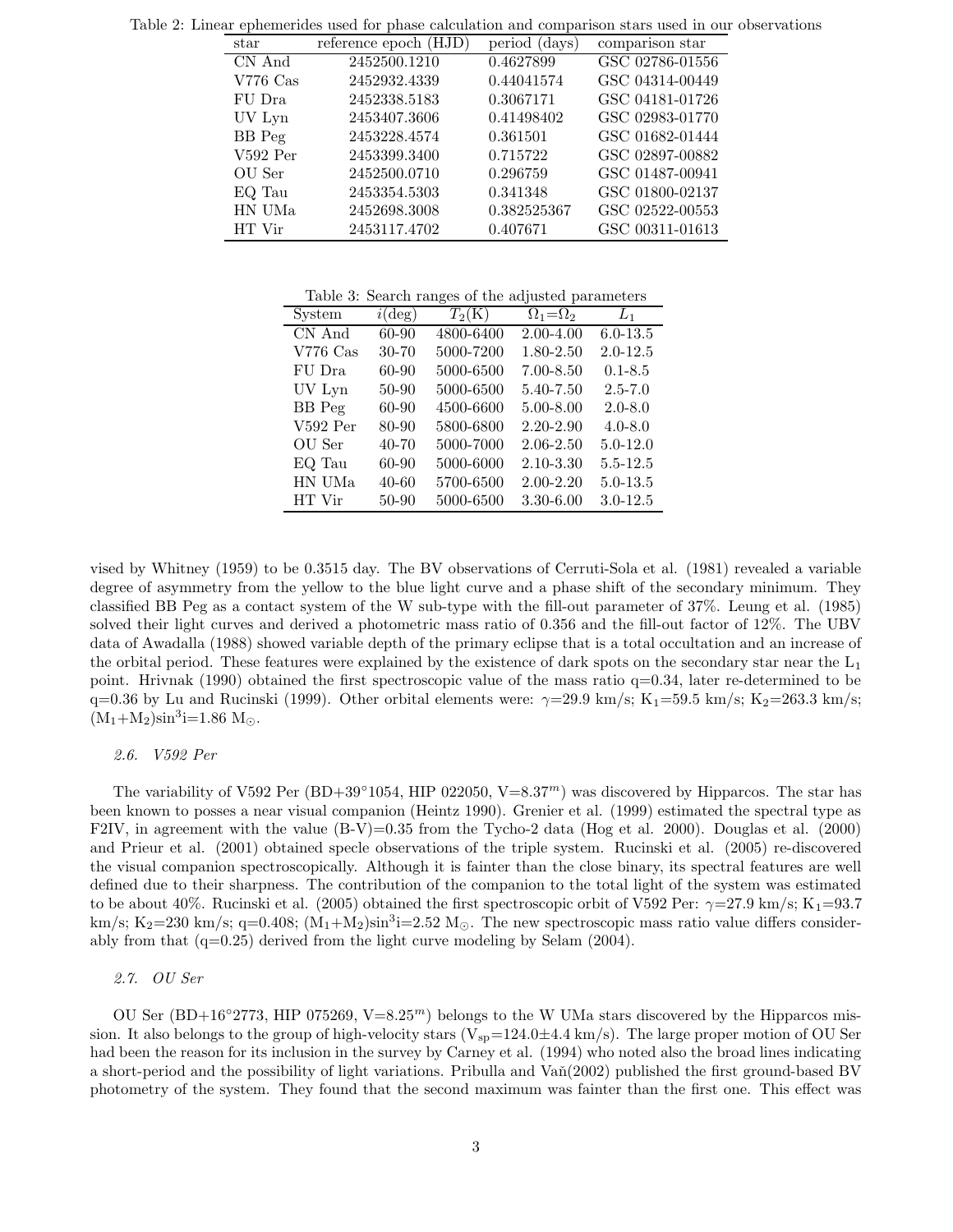| star       | reference epoch (HJD) | period (days) | comparison star |
|------------|-----------------------|---------------|-----------------|
| CN And     | 2452500.1210          | 0.4627899     | GSC 02786-01556 |
| $V776$ Cas | 2452932.4339          | 0.44041574    | GSC 04314-00449 |
| FU Dra     | 2452338.5183          | 0.3067171     | GSC 04181-01726 |
| UV Lyn     | 2453407.3606          | 0.41498402    | GSC 02983-01770 |
| BB Peg     | 2453228.4574          | 0.361501      | GSC 01682-01444 |
| $V592$ Per | 2453399.3400          | 0.715722      | GSC 02897-00882 |
| OU Ser     | 2452500.0710          | 0.296759      | GSC 01487-00941 |
| EQ Tau     | 2453354.5303          | 0.341348      | GSC 01800-02137 |
| HN UMa     | 2452698.3008          | 0.382525367   | GSC 02522-00553 |
| HT Vir     | 2453117.4702          | 0.407671      | GSC 00311-01613 |

Table 2: Linear ephemerides used for phase calculation and comparison stars used in our observations

Table 3: Search ranges of the adjusted parameters

| System        | $i(\text{deg})$ | $T_2(K)$  | $\Omega_1 = \Omega_2$ | $L_1$        |
|---------------|-----------------|-----------|-----------------------|--------------|
| CN And        | 60-90           | 4800-6400 | $2.00 - 4.00$         | $6.0 - 13.5$ |
| $V776$ Cas    | $30 - 70$       | 5000-7200 | 1.80-2.50             | $2.0 - 12.5$ |
| FU Dra        | 60-90           | 5000-6500 | $7.00 - 8.50$         | $0.1 - 8.5$  |
| UV Lyn        | 50-90           | 5000-6500 | 5.40-7.50             | $2.5 - 7.0$  |
| <b>BB</b> Peg | 60-90           | 4500-6600 | $5.00 - 8.00$         | $2.0 - 8.0$  |
| $V592$ Per    | 80-90           | 5800-6800 | 2.20-2.90             | $4.0 - 8.0$  |
| OU Ser        | $40 - 70$       | 5000-7000 | $2.06 - 2.50$         | $5.0 - 12.0$ |
| EQ Tau        | 60-90           | 5000-6000 | $2.10 - 3.30$         | $5.5 - 12.5$ |
| HN UMa        | 40-60           | 5700-6500 | $2.00 - 2.20$         | $5.0 - 13.5$ |
| HT Vir        | 50-90           | 5000-6500 | 3.30-6.00             | $3.0 - 12.5$ |

vised by Whitney (1959) to be 0.3515 day. The BV observations of Cerruti-Sola et al. (1981) revealed a variable degree of asymmetry from the yellow to the blue light curve and a phase shift of the secondary minimum. They classified BB Peg as a contact system of the W sub-type with the fill-out parameter of 37%. Leung et al. (1985) solved their light curves and derived a photometric mass ratio of 0.356 and the fill-out factor of 12%. The UBV data of Awadalla (1988) showed variable depth of the primary eclipse that is a total occultation and an increase of the orbital period. These features were explained by the existence of dark spots on the secondary star near the  $L_1$ point. Hrivnak (1990) obtained the first spectroscopic value of the mass ratio  $q=0.34$ , later re-determined to be q=0.36 by Lu and Rucinski (1999). Other orbital elements were:  $\gamma=29.9 \text{ km/s}; K_1=59.5 \text{ km/s}; K_2=263.3 \text{ km/s};$  $(M_1+M_2)\sin^3i=1.86$  M<sub> $\odot$ </sub>.

### 2.6. V592 Per

The variability of V592 Per (BD+39°1054, HIP 022050, V=8.37<sup>m</sup>) was discovered by Hipparcos. The star has been known to posses a near visual companion (Heintz 1990). Grenier et al. (1999) estimated the spectral type as F2IV, in agreement with the value  $(B-V)=0.35$  from the Tycho-2 data (Hog et al. 2000). Douglas et al. (2000) and Prieur et al. (2001) obtained specle observations of the triple system. Rucinski et al. (2005) re-discovered the visual companion spectroscopically. Although it is fainter than the close binary, its spectral features are well defined due to their sharpness. The contribution of the companion to the total light of the system was estimated to be about 40%. Rucinski et al. (2005) obtained the first spectroscopic orbit of V592 Per:  $\gamma=27.9$  km/s; K<sub>1</sub>=93.7 km/s; K<sub>2</sub>=230 km/s; q=0.408;  $(M_1+M_2)sin^3i=2.52$  M<sub>o</sub>. The new spectroscopic mass ratio value differs considerably from that (q=0.25) derived from the light curve modeling by Selam (2004).

2.7. OU Ser

OU Ser (BD+16°2773, HIP 075269, V=8.25<sup>m</sup>) belongs to the W UMa stars discovered by the Hipparcos mission. It also belongs to the group of high-velocity stars  $(V_{sp}=124.0\pm4.4 \text{ km/s})$ . The large proper motion of OU Ser had been the reason for its inclusion in the survey by Carney et al. (1994) who noted also the broad lines indicating a short-period and the possibility of light variations. Pribulla and Van(2002) published the first ground-based BV photometry of the system. They found that the second maximum was fainter than the first one. This effect was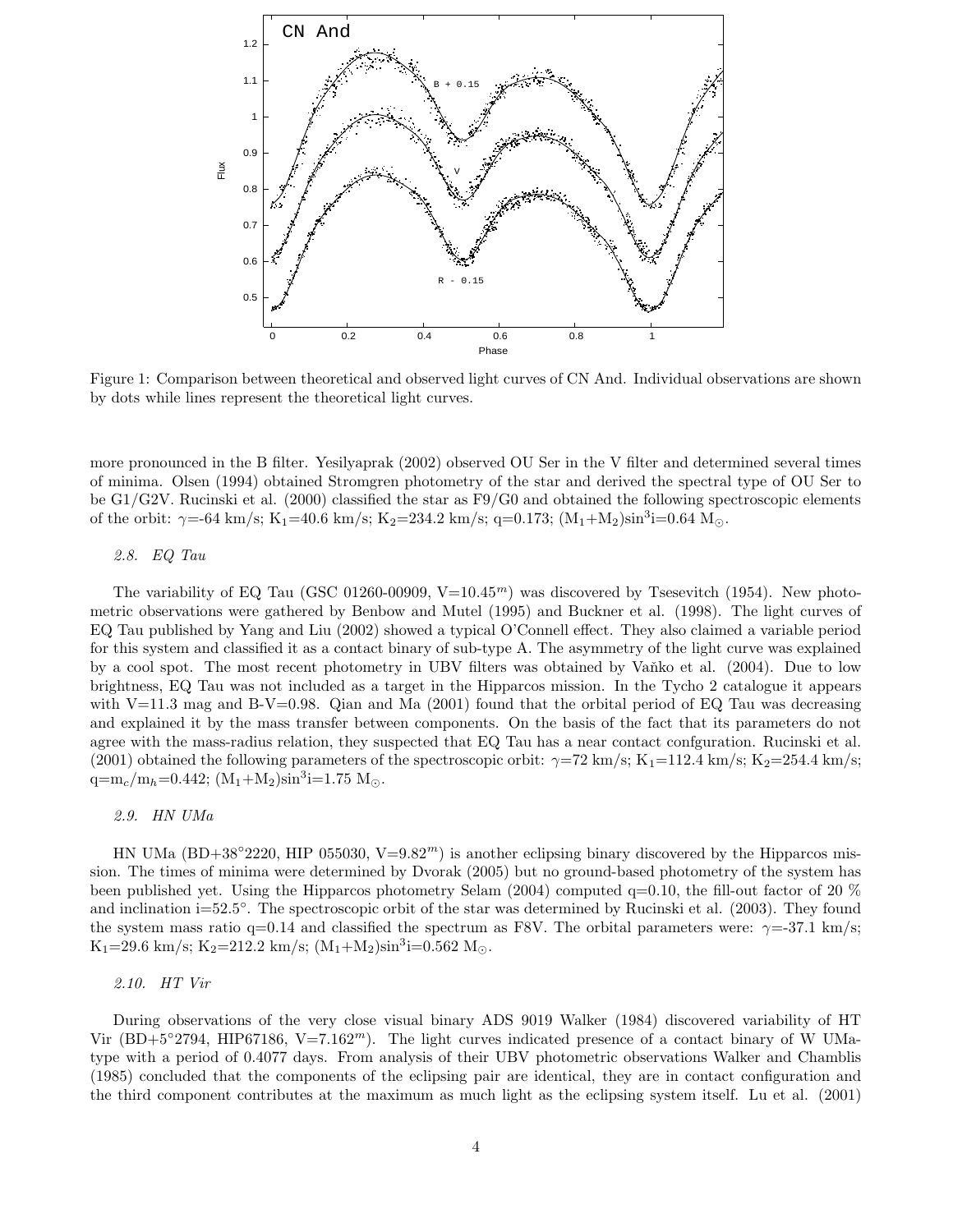

Figure 1: Comparison between theoretical and observed light curves of CN And. Individual observations are shown by dots while lines represent the theoretical light curves.

more pronounced in the B filter. Yesilyaprak (2002) observed OU Ser in the V filter and determined several times of minima. Olsen (1994) obtained Stromgren photometry of the star and derived the spectral type of OU Ser to be G1/G2V. Rucinski et al. (2000) classified the star as F9/G0 and obtained the following spectroscopic elements of the orbit:  $\gamma$ =-64 km/s; K<sub>1</sub>=40.6 km/s; K<sub>2</sub>=234.2 km/s; q=0.173; (M<sub>1</sub>+M<sub>2</sub>)sin<sup>3</sup>i=0.64 M<sub>0</sub>.

# 2.8. EQ Tau

The variability of EQ Tau (GSC 01260-00909,  $V=10.45<sup>m</sup>$ ) was discovered by Tsesevitch (1954). New photometric observations were gathered by Benbow and Mutel (1995) and Buckner et al. (1998). The light curves of EQ Tau published by Yang and Liu (2002) showed a typical O'Connell effect. They also claimed a variable period for this system and classified it as a contact binary of sub-type A. The asymmetry of the light curve was explained by a cool spot. The most recent photometry in UBV filters was obtained by Vaňko et al. (2004). Due to low brightness, EQ Tau was not included as a target in the Hipparcos mission. In the Tycho 2 catalogue it appears with V=11.3 mag and B-V=0.98. Qian and Ma  $(2001)$  found that the orbital period of EQ Tau was decreasing and explained it by the mass transfer between components. On the basis of the fact that its parameters do not agree with the mass-radius relation, they suspected that EQ Tau has a near contact confguration. Rucinski et al. (2001) obtained the following parameters of the spectroscopic orbit:  $\gamma$ =72 km/s; K<sub>1</sub>=112.4 km/s; K<sub>2</sub>=254.4 km/s;  $q=m_c/m_h=0.442; (M_1+M_2)sin^3i=1.75 M_\odot.$ 

### 2.9. HN UMa

HN UMa (BD+38°2220, HIP 055030, V=9.82<sup>m</sup>) is another eclipsing binary discovered by the Hipparcos mission. The times of minima were determined by Dvorak (2005) but no ground-based photometry of the system has been published yet. Using the Hipparcos photometry Selam (2004) computed q=0.10, the fill-out factor of 20 % and inclination i=52.5◦ . The spectroscopic orbit of the star was determined by Rucinski et al. (2003). They found the system mass ratio q=0.14 and classified the spectrum as F8V. The orbital parameters were:  $\gamma$ =-37.1 km/s;  $K_1$ =29.6 km/s;  $K_2$ =212.2 km/s;  $(M_1+M_2)sin^3i=0.562$  M<sub>o</sub>.

2.10. HT Vir

During observations of the very close visual binary ADS 9019 Walker (1984) discovered variability of HT Vir (BD+5°2794, HIP67186, V=7.162<sup>m</sup>). The light curves indicated presence of a contact binary of W UMatype with a period of 0.4077 days. From analysis of their UBV photometric observations Walker and Chamblis (1985) concluded that the components of the eclipsing pair are identical, they are in contact configuration and the third component contributes at the maximum as much light as the eclipsing system itself. Lu et al. (2001)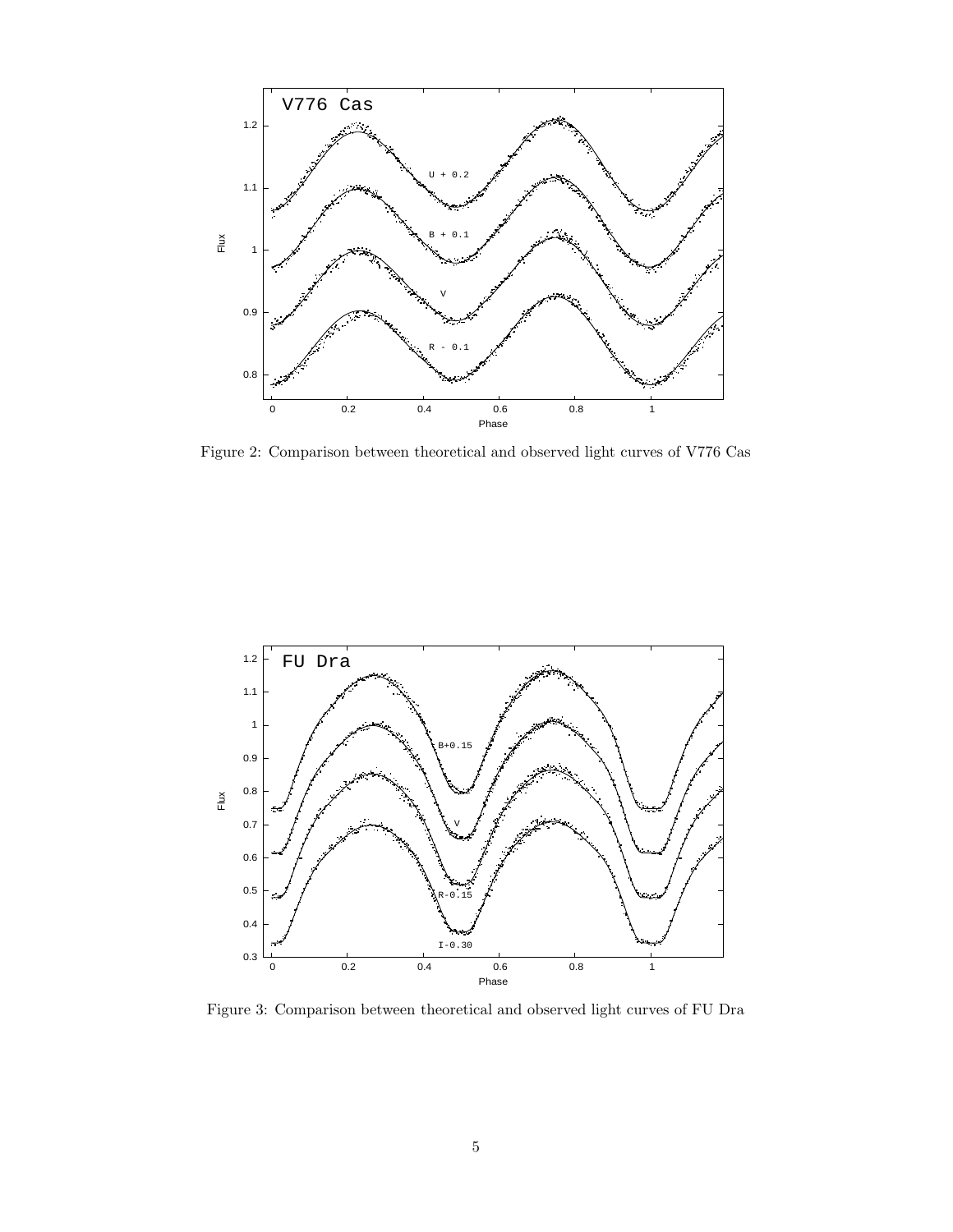

Figure 2: Comparison between theoretical and observed light curves of V776 Cas



Figure 3: Comparison between theoretical and observed light curves of FU Dra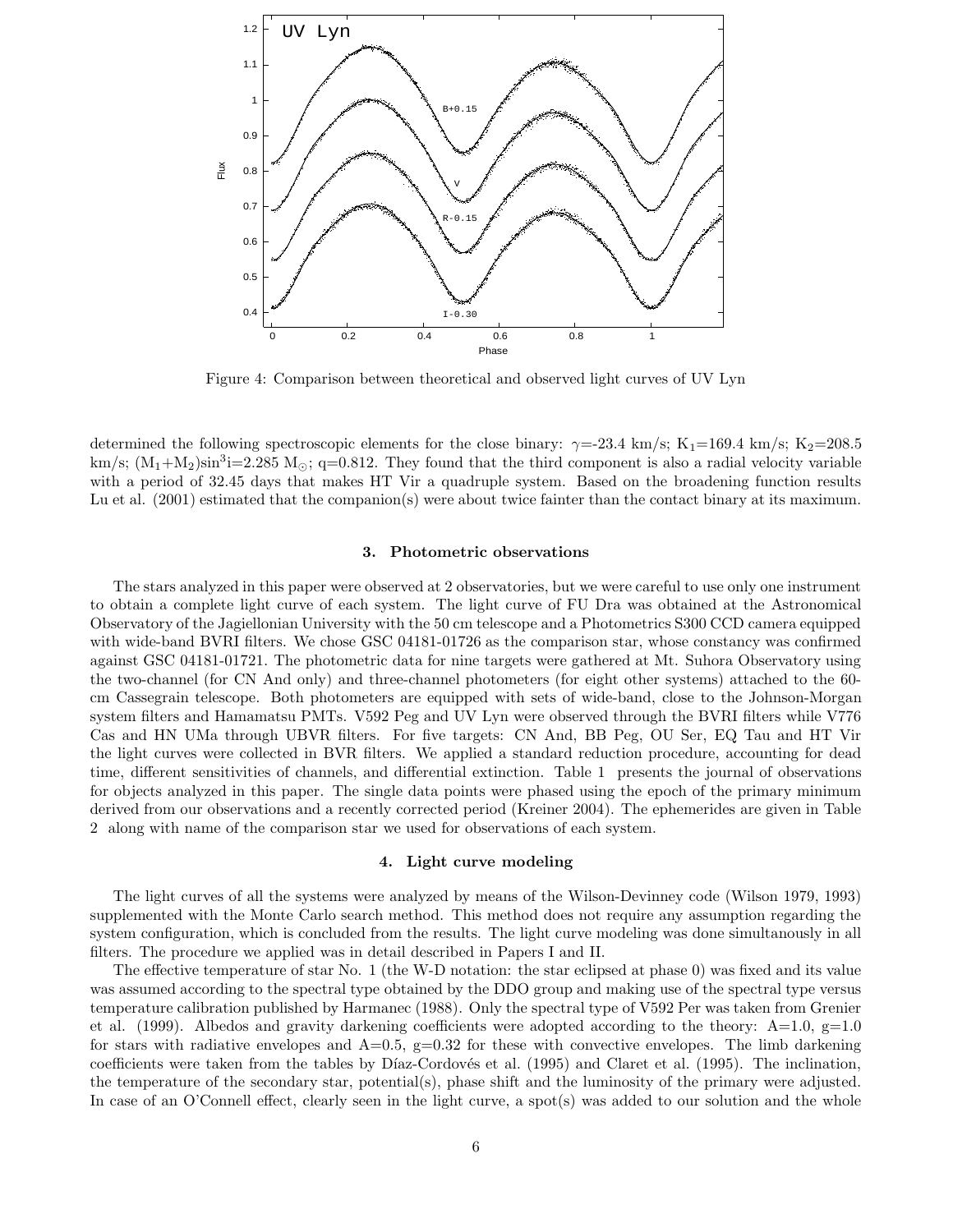

Figure 4: Comparison between theoretical and observed light curves of UV Lyn

determined the following spectroscopic elements for the close binary:  $\gamma = -23.4 \text{ km/s}; K_1 = 169.4 \text{ km/s}; K_2 = 208.5$ km/s;  $(M_1+M_2)sin^3i=2.285$  M<sub>o</sub>; q=0.812. They found that the third component is also a radial velocity variable with a period of 32.45 days that makes HT Vir a quadruple system. Based on the broadening function results Lu et al. (2001) estimated that the companion(s) were about twice fainter than the contact binary at its maximum.

#### 3. Photometric observations

The stars analyzed in this paper were observed at 2 observatories, but we were careful to use only one instrument to obtain a complete light curve of each system. The light curve of FU Dra was obtained at the Astronomical Observatory of the Jagiellonian University with the 50 cm telescope and a Photometrics S300 CCD camera equipped with wide-band BVRI filters. We chose GSC 04181-01726 as the comparison star, whose constancy was confirmed against GSC 04181-01721. The photometric data for nine targets were gathered at Mt. Suhora Observatory using the two-channel (for CN And only) and three-channel photometers (for eight other systems) attached to the 60 cm Cassegrain telescope. Both photometers are equipped with sets of wide-band, close to the Johnson-Morgan system filters and Hamamatsu PMTs. V592 Peg and UV Lyn were observed through the BVRI filters while V776 Cas and HN UMa through UBVR filters. For five targets: CN And, BB Peg, OU Ser, EQ Tau and HT Vir the light curves were collected in BVR filters. We applied a standard reduction procedure, accounting for dead time, different sensitivities of channels, and differential extinction. Table 1 presents the journal of observations for objects analyzed in this paper. The single data points were phased using the epoch of the primary minimum derived from our observations and a recently corrected period (Kreiner 2004). The ephemerides are given in Table 2 along with name of the comparison star we used for observations of each system.

### 4. Light curve modeling

The light curves of all the systems were analyzed by means of the Wilson-Devinney code (Wilson 1979, 1993) supplemented with the Monte Carlo search method. This method does not require any assumption regarding the system configuration, which is concluded from the results. The light curve modeling was done simultanously in all filters. The procedure we applied was in detail described in Papers I and II.

The effective temperature of star No. 1 (the W-D notation: the star eclipsed at phase 0) was fixed and its value was assumed according to the spectral type obtained by the DDO group and making use of the spectral type versus temperature calibration published by Harmanec (1988). Only the spectral type of V592 Per was taken from Grenier et al. (1999). Albedos and gravity darkening coefficients were adopted according to the theory:  $A=1.0$ ,  $g=1.0$ for stars with radiative envelopes and  $A=0.5$ ,  $g=0.32$  for these with convective envelopes. The limb darkening coefficients were taken from the tables by Díaz-Cordovés et al. (1995) and Claret et al. (1995). The inclination, the temperature of the secondary star, potential(s), phase shift and the luminosity of the primary were adjusted. In case of an O'Connell effect, clearly seen in the light curve, a spot(s) was added to our solution and the whole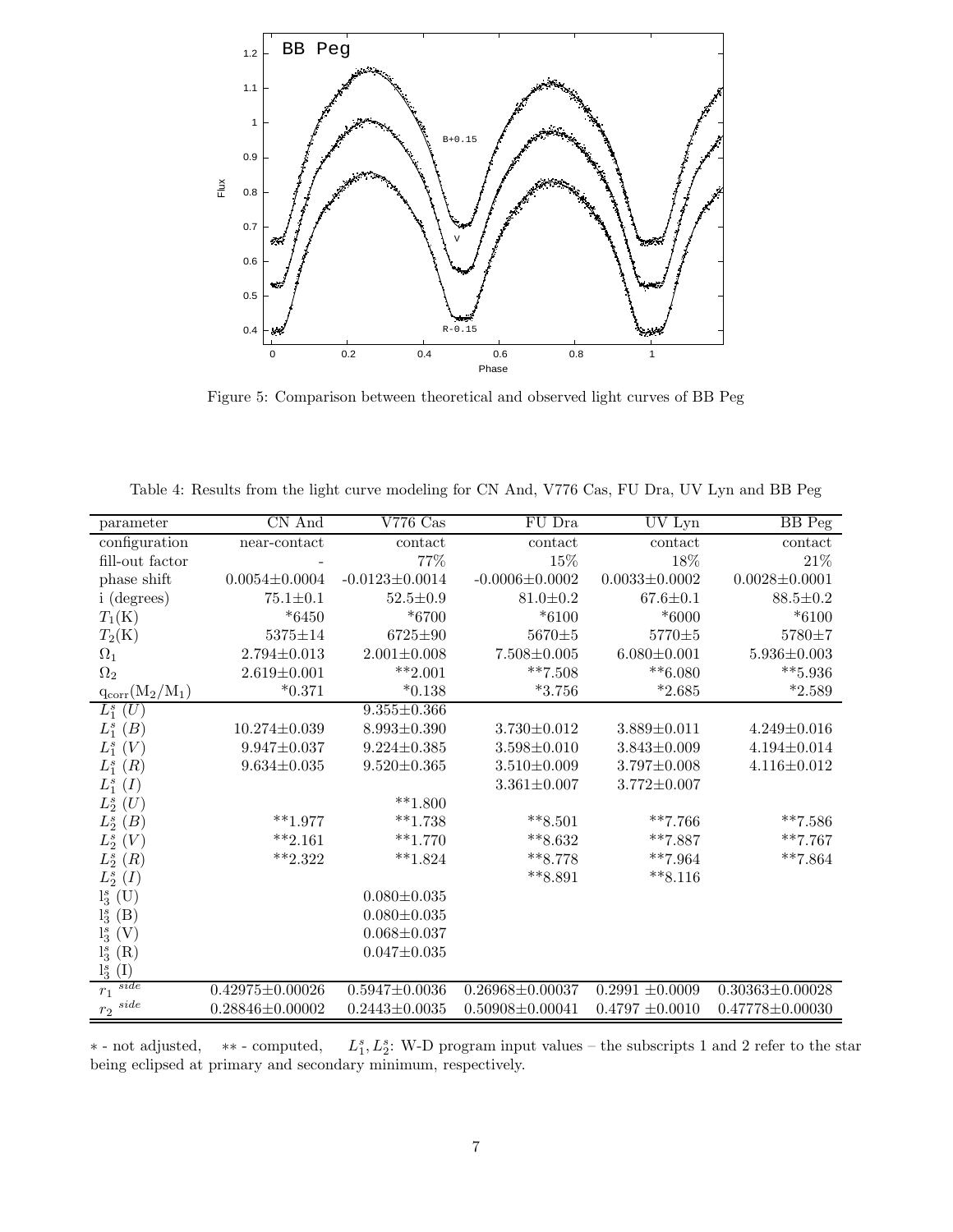

Figure 5: Comparison between theoretical and observed light curves of BB Peg

Table 4: Results from the light curve modeling for CN And, V776 Cas, FU Dra, UV Lyn and BB Peg

| parameter               | $\overline{\text{CN And}}$ | $V776$ Cas           | FU Dra                | UV Lyn              | BB Peg                |
|-------------------------|----------------------------|----------------------|-----------------------|---------------------|-----------------------|
| configuration           | near-contact               | contact              | contact               | contact             | contact               |
| fill-out factor         |                            | 77%                  | 15%                   | 18%                 | 21%                   |
| phase shift             | $0.0054 \pm 0.0004$        | $-0.0123 \pm 0.0014$ | $-0.0006 \pm 0.0002$  | $0.0033 \pm 0.0002$ | $0.0028 \pm 0.0001$   |
| i (degrees)             | $75.1 \pm 0.1$             | $52.5 \pm 0.9$       | $81.0 \pm 0.2$        | $67.6 \pm 0.1$      | $88.5 \pm 0.2$        |
| $T_1(K)$                | $*6450$                    | $*6700$              | $*6100$               | $*6000$             | $*6100$               |
| $T_2(K)$                | $5375 \pm 14$              | 6725±90              | $5670 \pm 5$          | $5770 \pm 5$        | $5780 \pm 7$          |
| $\Omega_1$              | $2.794 \pm 0.013$          | $2.001 \pm 0.008$    | $7.508 \pm 0.005$     | $6.080 \pm 0.001$   | $5.936 \pm 0.003$     |
| $\Omega_2$              | $2.619 \pm 0.001$          | $***2.001$           | $***7.508$            | $**6.080$           | $*** 5.936$           |
| $q_{\rm corr}(M_2/M_1)$ | $*0.371$                   | $*0.138$             | $*3.756$              | $*2.685$            | $*2.589$              |
| $L_1^s(U)$              |                            | $9.355 \pm 0.366$    |                       |                     |                       |
| $L_1^s(B)$              | $10.274 \pm 0.039$         | $8.993 \pm 0.390$    | $3.730 \pm 0.012$     | $3.889 \pm 0.011$   | $4.249 \pm 0.016$     |
| $L_1^s(V)$              | $9.947 \pm 0.037$          | $9.224 \pm 0.385$    | $3.598 \pm 0.010$     | $3.843 \pm 0.009$   | $4.194 \pm 0.014$     |
| $L_1^s(R)$              | $9.634 \pm 0.035$          | $9.520 \pm 0.365$    | $3.510 \pm 0.009$     | $3.797 \pm 0.008$   | $4.116 \pm 0.012$     |
| $L_1^s(I)$              |                            |                      | $3.361 \pm 0.007$     | $3.772 \pm 0.007$   |                       |
| $L_2^s(U)$              |                            | $***1.800$           |                       |                     |                       |
| $L_2^s(B)$              | $***1.977$                 | $***1.738$           | $***8.501$            | $***7.766$          | $***7.586$            |
| $L_2^s(V)$              | $**2.161$                  | $***1.770$           | $***8.632$            | $***7.887$          | $***7.767$            |
| $L_2^s(R)$              | $***2.322$                 | $**1.824$            | $***8.778$            | $***7.964$          | $***7.864$            |
| $L_2^s(I)$              |                            |                      | $***8.891$            | $***8.116$          |                       |
| $l_3^s$ (U)             |                            | $0.080 \pm 0.035$    |                       |                     |                       |
| $l_3^s$ (B)             |                            | $0.080 \pm 0.035$    |                       |                     |                       |
| $l_3^s(V)$              |                            | $0.068 \pm 0.037$    |                       |                     |                       |
| $l_3^s(R)$              |                            | $0.047 \pm 0.035$    |                       |                     |                       |
| $l_3^s(I)$              |                            |                      |                       |                     |                       |
| side<br>$r_1$           | $0.42975 \pm 0.00026$      | $0.5947 \pm 0.0036$  | $0.26968 \pm 0.00037$ | $0.2991 \pm 0.0009$ | $0.30363 \pm 0.00028$ |
| $r_2\ ^{side}$          | $0.28846 \pm 0.00002$      | $0.2443 \pm 0.0035$  | $0.50908 \pm 0.00041$ | $0.4797 \pm 0.0010$ | $0.47778 \pm 0.00030$ |

∗ - not adjusted, ∗∗ - computed, L  $S<sub>1</sub>, L<sub>2</sub><sup>s</sup>$ : W-D program input values – the subscripts 1 and 2 refer to the star being eclipsed at primary and secondary minimum, respectively.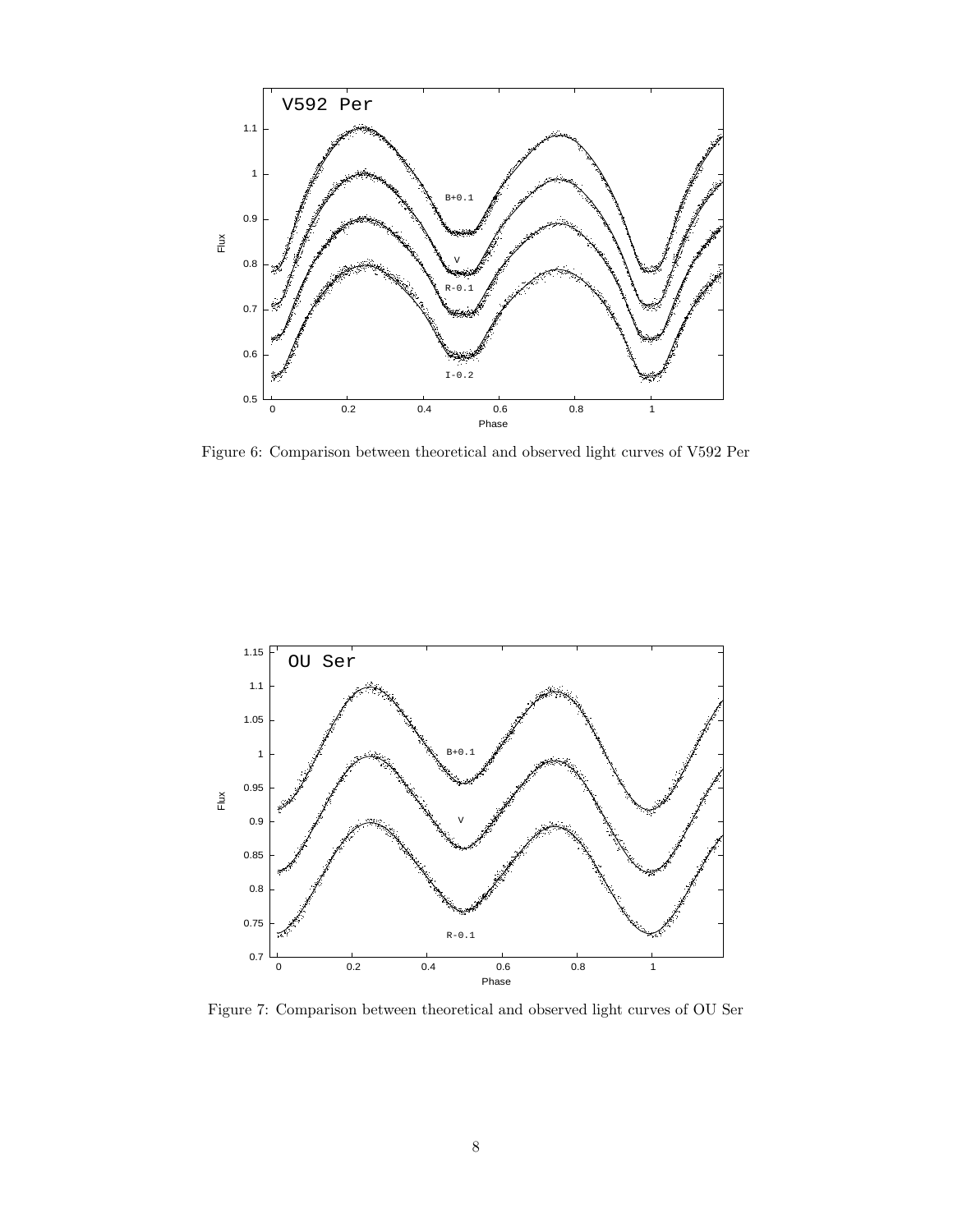

Figure 6: Comparison between theoretical and observed light curves of V592 Per



Figure 7: Comparison between theoretical and observed light curves of OU Ser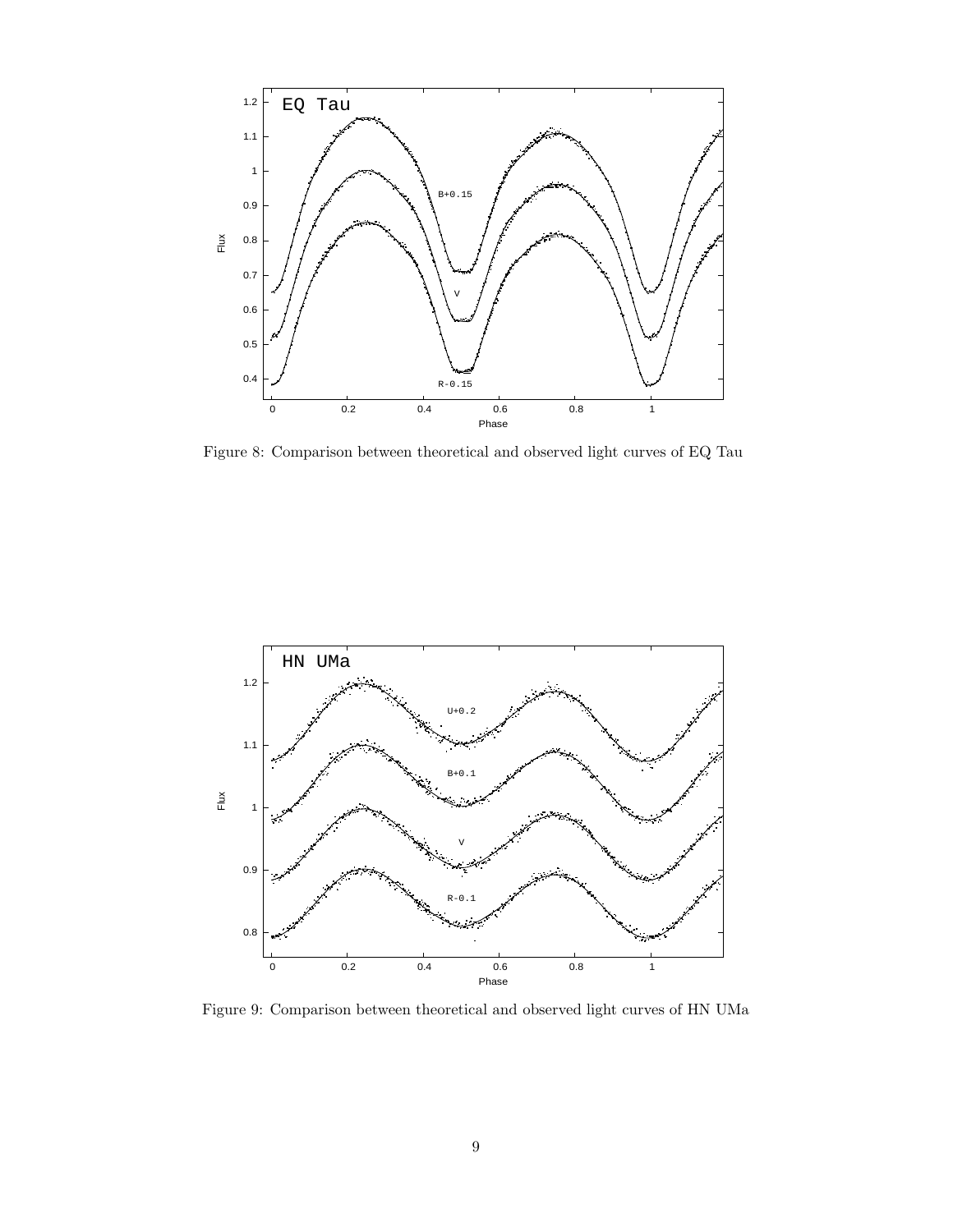

Figure 8: Comparison between theoretical and observed light curves of EQ Tau



Figure 9: Comparison between theoretical and observed light curves of HN UMa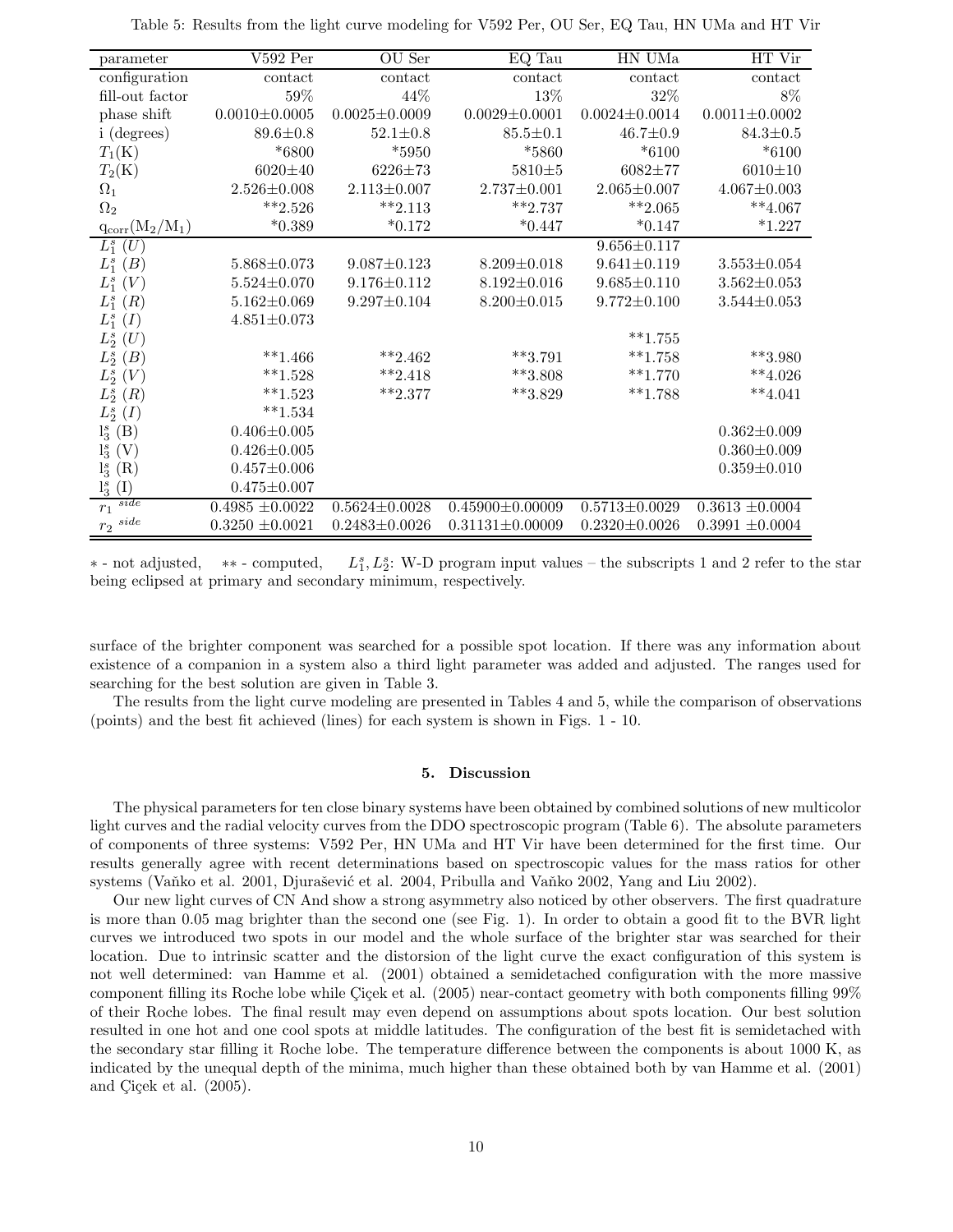| parameter               | $V592$ Per          | OU Ser              | EQ Tau                | HN UMa              | HT Vir              |
|-------------------------|---------------------|---------------------|-----------------------|---------------------|---------------------|
| configuration           | contact             | contact             | contact               | contact             | contact             |
| fill-out factor         | 59%                 | 44%                 | 13%                   | 32%                 | 8%                  |
| phase shift             | $0.0010{\pm}0.0005$ | $0.0025 \pm 0.0009$ | $0.0029 \pm 0.0001$   | $0.0024 \pm 0.0014$ | $0.0011 \pm 0.0002$ |
| <i>i</i> (degrees)      | $89.6 \pm 0.8$      | $52.1 \pm 0.8$      | $85.5 \pm 0.1$        | $46.7 \pm 0.9$      | $84.3 \pm 0.5$      |
| $T_1(K)$                | $*6800$             | $*5950$             | *5860                 | $*6100$             | $*6100$             |
| $T_2(K)$                | $6020 \pm 40$       | $6226 \pm 73$       | $5810 + 5$            | $6082 + 77$         | $6010 \pm 10$       |
| $\Omega_1$              | $2.526 \pm 0.008$   | $2.113 \pm 0.007$   | $2.737 \pm 0.001$     | $2.065 \pm 0.007$   | $4.067 \pm 0.003$   |
| $\Omega_2$              | $***2.526$          | $***2.113$          | $***2.737$            | $***2.065$          | $***4.067$          |
| $q_{\rm corr}(M_2/M_1)$ | $*0.389$            | $*0.172$            | $*0.447$              | $*0.147$            | $*1.227$            |
| $L_1^s(U)$              |                     |                     |                       | $9.656 \pm 0.117$   |                     |
| $L_1^s(B)$              | $5.868 \pm 0.073$   | $9.087 \pm 0.123$   | $8.209 \pm 0.018$     | $9.641 \pm 0.119$   | $3.553 \pm 0.054$   |
| $L_1^s(V)$              | $5.524 \pm 0.070$   | $9.176 \pm 0.112$   | $8.192 \pm 0.016$     | $9.685 \pm 0.110$   | $3.562 \pm 0.053$   |
| $L_1^s(R)$              | $5.162 \pm 0.069$   | $9.297 \pm 0.104$   | $8.200 \pm 0.015$     | $9.772 \pm 0.100$   | $3.544 \pm 0.053$   |
| $L_1^s(I)$              | $4.851 \pm 0.073$   |                     |                       |                     |                     |
| $L_2^s(U)$              |                     |                     |                       | $***1.755$          |                     |
| $L_2^s(B)$              | $**1.466$           | $***2.462$          | $***3.791$            | $***1.758$          | $***3.980$          |
| $L_2^s(V)$              | $***1.528$          | $***2.418$          | $***3.808$            | $***1.770$          | $**4.026$           |
| $L_2^s(R)$              | $**1.523$           | $***2.377$          | $***3.829$            | $***1.788$          | $**4.041$           |
| $L_2^s(I)$              | $**1.534$           |                     |                       |                     |                     |
| $l_3^s$ (B)             | $0.406 \pm 0.005$   |                     |                       |                     | $0.362 \pm 0.009$   |
| $l_3^s(V)$              | $0.426 \pm 0.005$   |                     |                       |                     | $0.360 \pm 0.009$   |
| $l_3^s(R)$              | $0.457 \pm 0.006$   |                     |                       |                     | $0.359 \pm 0.010$   |
| $\rm(I)$<br>$l_3^s$     | $0.475 \pm 0.007$   |                     |                       |                     |                     |
| side<br>$r_1$           | $0.4985 \pm 0.0022$ | $0.5624 \pm 0.0028$ | $0.45900 \pm 0.00009$ | $0.5713 \pm 0.0029$ | $0.3613 \pm 0.0004$ |
| $r_2\ ^{side}$          | $0.3250 \pm 0.0021$ | $0.2483 \pm 0.0026$ | $0.31131 \pm 0.00009$ | $0.2320 \pm 0.0026$ | $0.3991 \pm 0.0004$ |

Table 5: Results from the light curve modeling for V592 Per, OU Ser, EQ Tau, HN UMa and HT Vir

∗ - not adjusted, ∗∗ - computed, L  $S<sub>1</sub>, L<sub>2</sub><sup>s</sup>$ : W-D program input values – the subscripts 1 and 2 refer to the star being eclipsed at primary and secondary minimum, respectively.

surface of the brighter component was searched for a possible spot location. If there was any information about existence of a companion in a system also a third light parameter was added and adjusted. The ranges used for searching for the best solution are given in Table 3.

The results from the light curve modeling are presented in Tables 4 and 5, while the comparison of observations (points) and the best fit achieved (lines) for each system is shown in Figs. 1 - 10.

### 5. Discussion

The physical parameters for ten close binary systems have been obtained by combined solutions of new multicolor light curves and the radial velocity curves from the DDO spectroscopic program (Table 6). The absolute parameters of components of three systems: V592 Per, HN UMa and HT Vir have been determined for the first time. Our results generally agree with recent determinations based on spectroscopic values for the mass ratios for other systems (Vanko et al. 2001, Djurašević et al. 2004, Pribulla and Vanko 2002, Yang and Liu 2002).

Our new light curves of CN And show a strong asymmetry also noticed by other observers. The first quadrature is more than 0.05 mag brighter than the second one (see Fig. 1). In order to obtain a good fit to the BVR light curves we introduced two spots in our model and the whole surface of the brighter star was searched for their location. Due to intrinsic scatter and the distorsion of the light curve the exact configuration of this system is not well determined: van Hamme et al. (2001) obtained a semidetached configuration with the more massive component filling its Roche lobe while Cicek et al. (2005) near-contact geometry with both components filling 99% of their Roche lobes. The final result may even depend on assumptions about spots location. Our best solution resulted in one hot and one cool spots at middle latitudes. The configuration of the best fit is semidetached with the secondary star filling it Roche lobe. The temperature difference between the components is about 1000 K, as indicated by the unequal depth of the minima, much higher than these obtained both by van Hamme et al. (2001) and Çiçek et al.  $(2005)$ .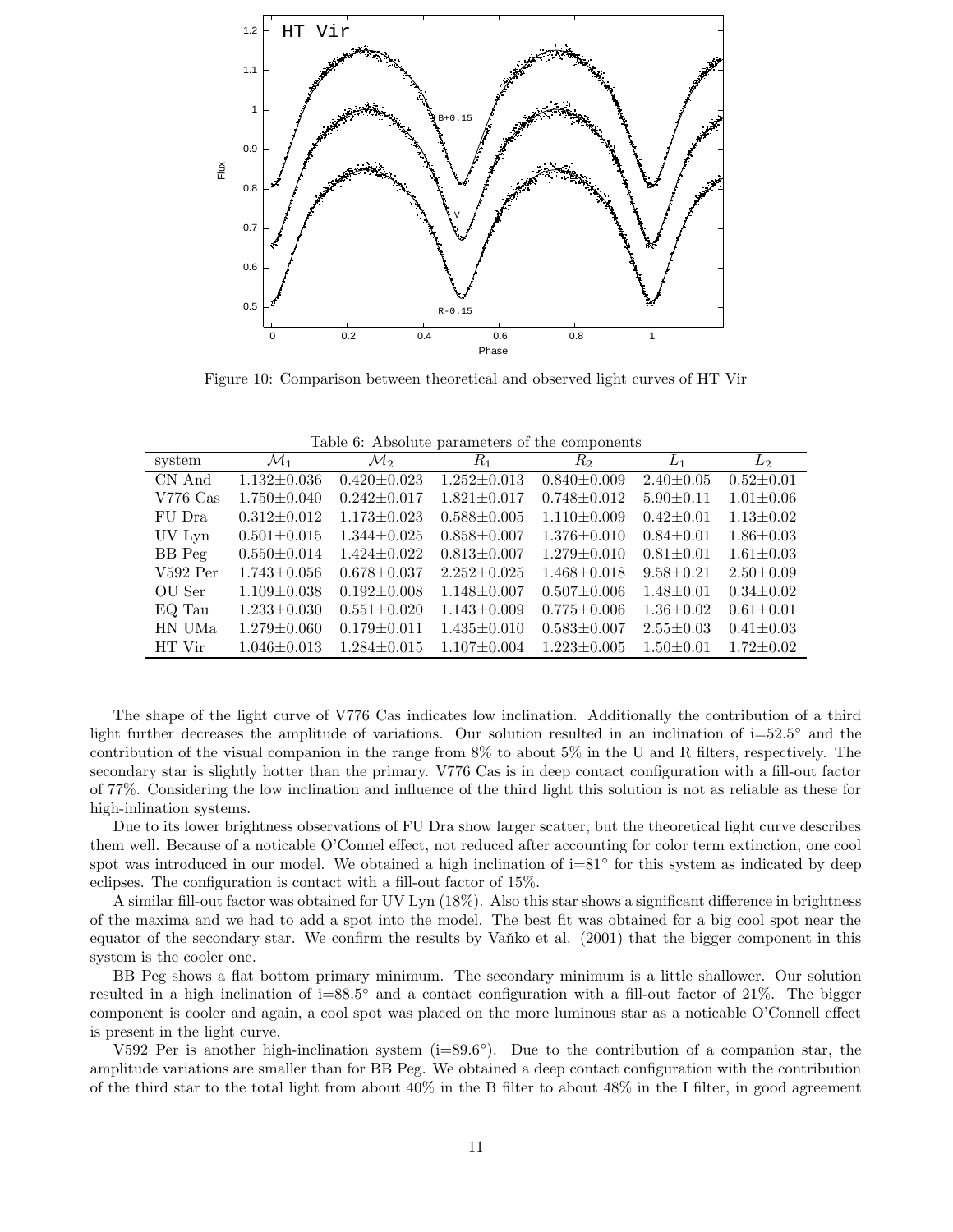

Figure 10: Comparison between theoretical and observed light curves of HT Vir

| Table 6: Absolute parameters of the components |  |  |  |
|------------------------------------------------|--|--|--|
|------------------------------------------------|--|--|--|

| system        | $\mathcal{M}_1$   | $\mathcal{M}_2$   | $R_{\rm 1}$       | $R_{2}$           | $L_1$           | $L_{2}$         |
|---------------|-------------------|-------------------|-------------------|-------------------|-----------------|-----------------|
| CN And        | $1.132 \pm 0.036$ | $0.420 \pm 0.023$ | $1.252 \pm 0.013$ | $0.840 \pm 0.009$ | $2.40 \pm 0.05$ | $0.52 \pm 0.01$ |
| $V776$ Cas    | $1.750 \pm 0.040$ | $0.242 \pm 0.017$ | $1.821 \pm 0.017$ | $0.748 \pm 0.012$ | $5.90 \pm 0.11$ | $1.01 \pm 0.06$ |
| FU Dra        | $0.312 \pm 0.012$ | $1.173 \pm 0.023$ | $0.588 \pm 0.005$ | $1.110\pm0.009$   | $0.42 \pm 0.01$ | $1.13 \pm 0.02$ |
| UV Lyn        | $0.501 \pm 0.015$ | $1.344 \pm 0.025$ | $0.858 \pm 0.007$ | $1.376 \pm 0.010$ | $0.84 \pm 0.01$ | $1.86 \pm 0.03$ |
| <b>BB</b> Peg | $0.550 \pm 0.014$ | $1.424 \pm 0.022$ | $0.813 \pm 0.007$ | $1.279 \pm 0.010$ | $0.81 + 0.01$   | $1.61 \pm 0.03$ |
| $V592$ Per    | $1.743 \pm 0.056$ | $0.678 + 0.037$   | $2.252 \pm 0.025$ | $1.468 \pm 0.018$ | $9.58 \pm 0.21$ | $2.50 \pm 0.09$ |
| OU Ser        | $1.109 \pm 0.038$ | $0.192 \pm 0.008$ | $1.148 + 0.007$   | $0.507 \pm 0.006$ | $1.48 + 0.01$   | $0.34 \pm 0.02$ |
| EQ Tau        | $1.233 \pm 0.030$ | $0.551 \pm 0.020$ | $1.143 \pm 0.009$ | $0.775 \pm 0.006$ | $1.36 \pm 0.02$ | $0.61 \pm 0.01$ |
| HN UMa        | $1.279 \pm 0.060$ | $0.179 + 0.011$   | $1.435 \pm 0.010$ | $0.583 \pm 0.007$ | $2.55 \pm 0.03$ | $0.41 \pm 0.03$ |
| HT Vir        | $1.046 \pm 0.013$ | $1.284 \pm 0.015$ | $1.107 + 0.004$   | $1.223 \pm 0.005$ | $1.50 + 0.01$   | $1.72 \pm 0.02$ |

The shape of the light curve of V776 Cas indicates low inclination. Additionally the contribution of a third light further decreases the amplitude of variations. Our solution resulted in an inclination of i=52.5◦ and the contribution of the visual companion in the range from 8% to about 5% in the U and R filters, respectively. The secondary star is slightly hotter than the primary. V776 Cas is in deep contact configuration with a fill-out factor of 77%. Considering the low inclination and influence of the third light this solution is not as reliable as these for high-inlination systems.

Due to its lower brightness observations of FU Dra show larger scatter, but the theoretical light curve describes them well. Because of a noticable O'Connel effect, not reduced after accounting for color term extinction, one cool spot was introduced in our model. We obtained a high inclination of  $i=81°$  for this system as indicated by deep eclipses. The configuration is contact with a fill-out factor of 15%.

A similar fill-out factor was obtained for UV Lyn (18%). Also this star shows a significant difference in brightness of the maxima and we had to add a spot into the model. The best fit was obtained for a big cool spot near the equator of the secondary star. We confirm the results by Vanko et al. (2001) that the bigger component in this system is the cooler one.

BB Peg shows a flat bottom primary minimum. The secondary minimum is a little shallower. Our solution resulted in a high inclination of i=88.5◦ and a contact configuration with a fill-out factor of 21%. The bigger component is cooler and again, a cool spot was placed on the more luminous star as a noticable O'Connell effect is present in the light curve.

V592 Per is another high-inclination system  $(i=89.6°)$ . Due to the contribution of a companion star, the amplitude variations are smaller than for BB Peg. We obtained a deep contact configuration with the contribution of the third star to the total light from about  $40\%$  in the B filter to about  $48\%$  in the I filter, in good agreement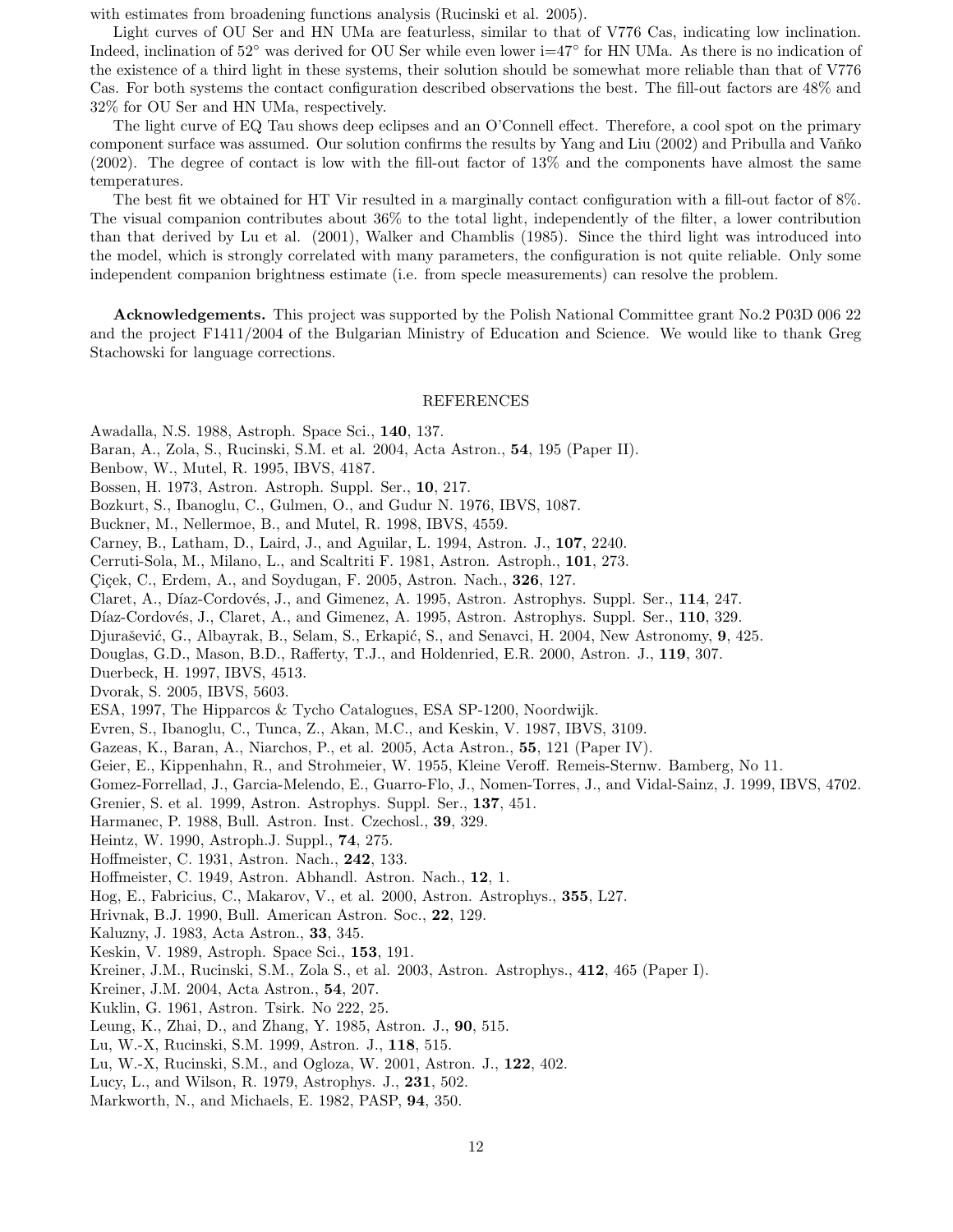with estimates from broadening functions analysis (Rucinski et al. 2005).

Light curves of OU Ser and HN UMa are featurless, similar to that of V776 Cas, indicating low inclination. Indeed, inclination of 52◦ was derived for OU Ser while even lower i=47◦ for HN UMa. As there is no indication of the existence of a third light in these systems, their solution should be somewhat more reliable than that of V776 Cas. For both systems the contact configuration described observations the best. The fill-out factors are 48% and 32% for OU Ser and HN UMa, respectively.

The light curve of EQ Tau shows deep eclipses and an O'Connell effect. Therefore, a cool spot on the primary component surface was assumed. Our solution confirms the results by Yang and Liu (2002) and Pribulla and Vanko (2002). The degree of contact is low with the fill-out factor of 13% and the components have almost the same temperatures.

The best fit we obtained for HT Vir resulted in a marginally contact configuration with a fill-out factor of 8%. The visual companion contributes about 36% to the total light, independently of the filter, a lower contribution than that derived by Lu et al. (2001), Walker and Chamblis (1985). Since the third light was introduced into the model, which is strongly correlated with many parameters, the configuration is not quite reliable. Only some independent companion brightness estimate (i.e. from specle measurements) can resolve the problem.

Acknowledgements. This project was supported by the Polish National Committee grant No.2 P03D 006 22 and the project F1411/2004 of the Bulgarian Ministry of Education and Science. We would like to thank Greg Stachowski for language corrections.

### REFERENCES

Awadalla, N.S. 1988, Astroph. Space Sci., 140, 137.

Baran, A., Zola, S., Rucinski, S.M. et al. 2004, Acta Astron., 54, 195 (Paper II).

Benbow, W., Mutel, R. 1995, IBVS, 4187.

Bossen, H. 1973, Astron. Astroph. Suppl. Ser., 10, 217.

Bozkurt, S., Ibanoglu, C., Gulmen, O., and Gudur N. 1976, IBVS, 1087.

Buckner, M., Nellermoe, B., and Mutel, R. 1998, IBVS, 4559.

Carney, B., Latham, D., Laird, J., and Aguilar, L. 1994, Astron. J., 107, 2240.

Cerruti-Sola, M., Milano, L., and Scaltriti F. 1981, Astron. Astroph., 101, 273.

Çiçek, C., Erdem, A., and Soydugan, F. 2005, Astron. Nach., 326, 127.

Claret, A., Díaz-Cordovés, J., and Gimenez, A. 1995, Astron. Astrophys. Suppl. Ser., 114, 247.

Díaz-Cordovés, J., Claret, A., and Gimenez, A. 1995, Astron. Astrophys. Suppl. Ser., 110, 329.

Djurašević, G., Albayrak, B., Selam, S., Erkapić, S., and Senavci, H. 2004, New Astronomy, 9, 425.

Douglas, G.D., Mason, B.D., Rafferty, T.J., and Holdenried, E.R. 2000, Astron. J., 119, 307.

Duerbeck, H. 1997, IBVS, 4513.

Dvorak, S. 2005, IBVS, 5603.

ESA, 1997, The Hipparcos & Tycho Catalogues, ESA SP-1200, Noordwijk.

Evren, S., Ibanoglu, C., Tunca, Z., Akan, M.C., and Keskin, V. 1987, IBVS, 3109.

Gazeas, K., Baran, A., Niarchos, P., et al. 2005, Acta Astron., 55, 121 (Paper IV).

Geier, E., Kippenhahn, R., and Strohmeier, W. 1955, Kleine Veroff. Remeis-Sternw. Bamberg, No 11.

Gomez-Forrellad, J., Garcia-Melendo, E., Guarro-Flo, J., Nomen-Torres, J., and Vidal-Sainz, J. 1999, IBVS, 4702.

Grenier, S. et al. 1999, Astron. Astrophys. Suppl. Ser., 137, 451.

Harmanec, P. 1988, Bull. Astron. Inst. Czechosl., 39, 329.

Heintz, W. 1990, Astroph.J. Suppl., 74, 275.

Hoffmeister, C. 1931, Astron. Nach., 242, 133.

Hoffmeister, C. 1949, Astron. Abhandl. Astron. Nach., 12, 1.

Hog, E., Fabricius, C., Makarov, V., et al. 2000, Astron. Astrophys., 355, L27.

Hrivnak, B.J. 1990, Bull. American Astron. Soc., 22, 129.

Kaluzny, J. 1983, Acta Astron., 33, 345.

Keskin, V. 1989, Astroph. Space Sci., 153, 191.

Kreiner, J.M., Rucinski, S.M., Zola S., et al. 2003, Astron. Astrophys., 412, 465 (Paper I).

Kreiner, J.M. 2004, Acta Astron., 54, 207.

Kuklin, G. 1961, Astron. Tsirk. No 222, 25.

Leung, K., Zhai, D., and Zhang, Y. 1985, Astron. J., 90, 515.

Lu, W.-X, Rucinski, S.M. 1999, Astron. J., 118, 515.

Lu, W.-X, Rucinski, S.M., and Ogloza, W. 2001, Astron. J., 122, 402.

Lucy, L., and Wilson, R. 1979, Astrophys. J., 231, 502.

Markworth, N., and Michaels, E. 1982, PASP, 94, 350.